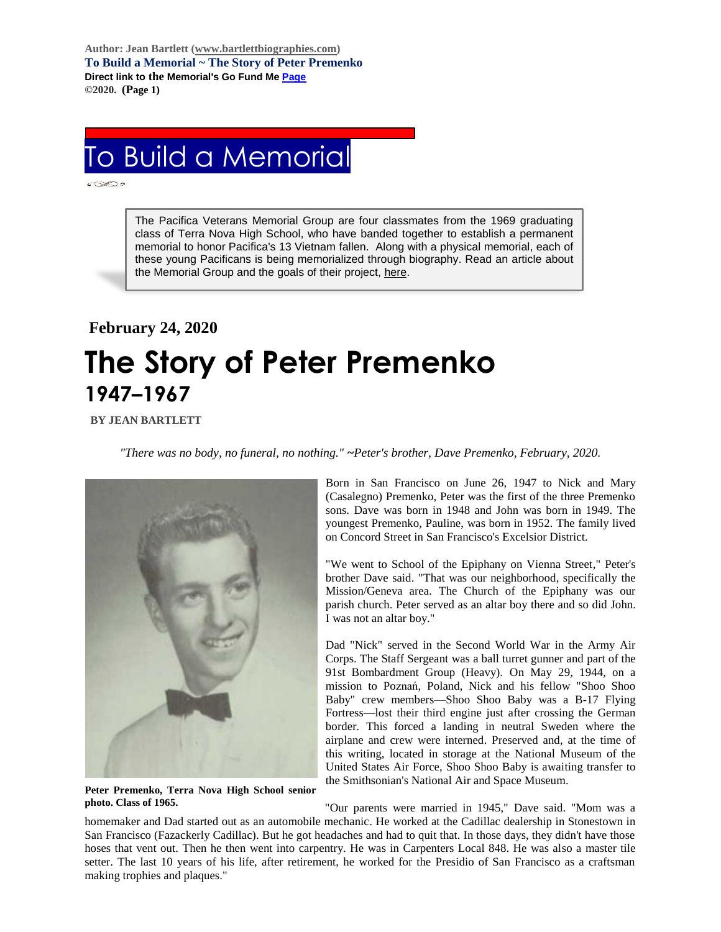**Author: Jean Bartlett [\(www.bartlettbiographies.com\)](http://www.bartlettbiographies.com/) To Build a Memorial ~ The Story of Peter Premenko Direct link to the Memorial's Go Fund M[e Page](https://www.gofundme.com/f/uyf8r-25000?utm_source=customer&utm_medium=copy_link-tip&utm_campaign=p_cp+share-sheet) ©2020. (Page 1)**

## To Build a Memorial

The Pacifica Veterans Memorial Group are four classmates from the 1969 graduating class of Terra Nova High School, who have banded together to establish a permanent memorial to honor Pacifica's 13 Vietnam fallen. Along with a physical memorial, each of these young Pacificans is being memorialized through biography. Read an article about the Memorial Group and the goals of their project, [here.](https://46d14119-b42d-469c-887f-083db2a10fe7.filesusr.com/ugd/5ea9c3_694b61f9c88d4750bf1a520233e8f35f.pdf)

## **February 24, 2020 The Story of Peter Premenko 1947–1967**

 **BY JEAN BARTLETT**

*"There was no body, no funeral, no nothing." ~Peter's brother, Dave Premenko, February, 2020.*



**Peter Premenko, Terra Nova High School senior photo. Class of 1965.**

Born in San Francisco on June 26, 1947 to Nick and Mary (Casalegno) Premenko, Peter was the first of the three Premenko sons. Dave was born in 1948 and John was born in 1949. The youngest Premenko, Pauline, was born in 1952. The family lived on Concord Street in San Francisco's Excelsior District.

"We went to School of the Epiphany on Vienna Street," Peter's brother Dave said. "That was our neighborhood, specifically the Mission/Geneva area. The Church of the Epiphany was our parish church. Peter served as an altar boy there and so did John. I was not an altar boy."

Dad "Nick" served in the Second World War in the Army Air Corps. The Staff Sergeant was a ball turret gunner and part of the 91st Bombardment Group (Heavy). On May 29, 1944, on a mission to Poznań, Poland, Nick and his fellow "Shoo Shoo Baby" crew members—Shoo Shoo Baby was a B-17 Flying Fortress—lost their third engine just after crossing the German border. This forced a landing in neutral Sweden where the airplane and crew were interned. Preserved and, at the time of this writing, located in storage at the National Museum of the United States Air Force, Shoo Shoo Baby is awaiting transfer to the Smithsonian's National Air and Space Museum.

"Our parents were married in 1945," Dave said. "Mom was a homemaker and Dad started out as an automobile mechanic. He worked at the Cadillac dealership in Stonestown in San Francisco (Fazackerly Cadillac). But he got headaches and had to quit that. In those days, they didn't have those hoses that vent out. Then he then went into carpentry. He was in Carpenters Local 848. He was also a master tile setter. The last 10 years of his life, after retirement, he worked for the Presidio of San Francisco as a craftsman making trophies and plaques."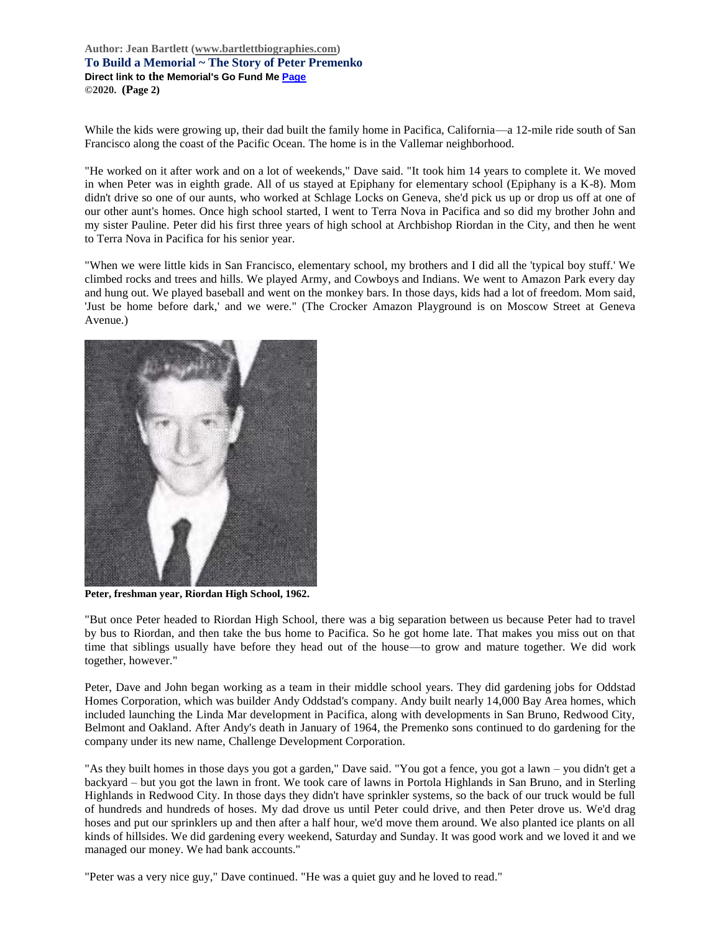**Author: Jean Bartlett [\(www.bartlettbiographies.com\)](http://www.bartlettbiographies.com/) To Build a Memorial ~ The Story of Peter Premenko Direct link to the Memorial's Go Fund M[e Page](https://www.gofundme.com/f/uyf8r-25000?utm_source=customer&utm_medium=copy_link-tip&utm_campaign=p_cp+share-sheet) ©2020. (Page 2)**

While the kids were growing up, their dad built the family home in Pacifica, California—a 12-mile ride south of San Francisco along the coast of the Pacific Ocean. The home is in the Vallemar neighborhood.

"He worked on it after work and on a lot of weekends," Dave said. "It took him 14 years to complete it. We moved in when Peter was in eighth grade. All of us stayed at Epiphany for elementary school (Epiphany is a K-8). Mom didn't drive so one of our aunts, who worked at Schlage Locks on Geneva, she'd pick us up or drop us off at one of our other aunt's homes. Once high school started, I went to Terra Nova in Pacifica and so did my brother John and my sister Pauline. Peter did his first three years of high school at Archbishop Riordan in the City, and then he went to Terra Nova in Pacifica for his senior year.

"When we were little kids in San Francisco, elementary school, my brothers and I did all the 'typical boy stuff.' We climbed rocks and trees and hills. We played Army, and Cowboys and Indians. We went to Amazon Park every day and hung out. We played baseball and went on the monkey bars. In those days, kids had a lot of freedom. Mom said, 'Just be home before dark,' and we were." (The Crocker Amazon Playground is on Moscow Street at Geneva Avenue.)



**Peter, freshman year, Riordan High School, 1962.**

"But once Peter headed to Riordan High School, there was a big separation between us because Peter had to travel by bus to Riordan, and then take the bus home to Pacifica. So he got home late. That makes you miss out on that time that siblings usually have before they head out of the house—to grow and mature together. We did work together, however."

Peter, Dave and John began working as a team in their middle school years. They did gardening jobs for Oddstad Homes Corporation, which was builder Andy Oddstad's company. Andy built nearly 14,000 Bay Area homes, which included launching the Linda Mar development in Pacifica, along with developments in San Bruno, Redwood City, Belmont and Oakland. After Andy's death in January of 1964, the Premenko sons continued to do gardening for the company under its new name, Challenge Development Corporation.

"As they built homes in those days you got a garden," Dave said. "You got a fence, you got a lawn – you didn't get a backyard – but you got the lawn in front. We took care of lawns in Portola Highlands in San Bruno, and in Sterling Highlands in Redwood City. In those days they didn't have sprinkler systems, so the back of our truck would be full of hundreds and hundreds of hoses. My dad drove us until Peter could drive, and then Peter drove us. We'd drag hoses and put our sprinklers up and then after a half hour, we'd move them around. We also planted ice plants on all kinds of hillsides. We did gardening every weekend, Saturday and Sunday. It was good work and we loved it and we managed our money. We had bank accounts."

"Peter was a very nice guy," Dave continued. "He was a quiet guy and he loved to read."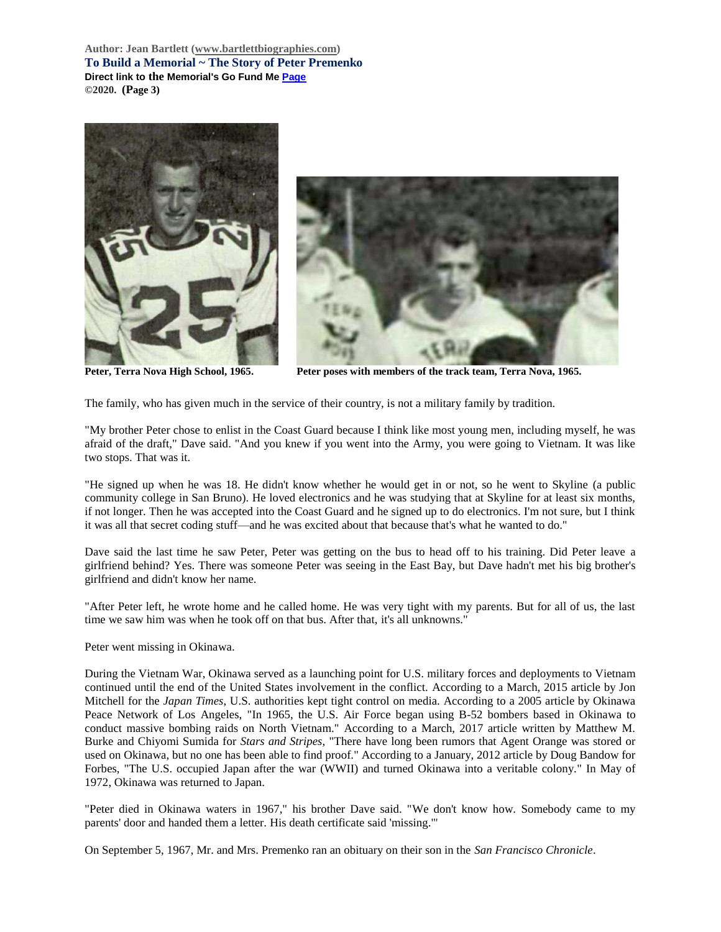**Author: Jean Bartlett [\(www.bartlettbiographies.com\)](http://www.bartlettbiographies.com/) To Build a Memorial ~ The Story of Peter Premenko Direct link to the Memorial's Go Fund M[e Page](https://www.gofundme.com/f/uyf8r-25000?utm_source=customer&utm_medium=copy_link-tip&utm_campaign=p_cp+share-sheet) ©2020. (Page 3)**





**Peter, Terra Nova High School, 1965. Peter poses with members of the track team, Terra Nova, 1965.**

The family, who has given much in the service of their country, is not a military family by tradition.

"My brother Peter chose to enlist in the Coast Guard because I think like most young men, including myself, he was afraid of the draft," Dave said. "And you knew if you went into the Army, you were going to Vietnam. It was like two stops. That was it.

"He signed up when he was 18. He didn't know whether he would get in or not, so he went to Skyline (a public community college in San Bruno). He loved electronics and he was studying that at Skyline for at least six months, if not longer. Then he was accepted into the Coast Guard and he signed up to do electronics. I'm not sure, but I think it was all that secret coding stuff—and he was excited about that because that's what he wanted to do."

Dave said the last time he saw Peter, Peter was getting on the bus to head off to his training. Did Peter leave a girlfriend behind? Yes. There was someone Peter was seeing in the East Bay, but Dave hadn't met his big brother's girlfriend and didn't know her name.

"After Peter left, he wrote home and he called home. He was very tight with my parents. But for all of us, the last time we saw him was when he took off on that bus. After that, it's all unknowns."

Peter went missing in Okinawa.

During the Vietnam War, Okinawa served as a launching point for U.S. military forces and deployments to Vietnam continued until the end of the United States involvement in the conflict. According to a March, 2015 article by Jon Mitchell for the *Japan Times*, U.S. authorities kept tight control on media. According to a 2005 article by Okinawa Peace Network of Los Angeles, "In 1965, the U.S. Air Force began using B-52 bombers based in Okinawa to conduct massive bombing raids on North Vietnam." According to a March, 2017 article written by Matthew M. Burke and Chiyomi Sumida for *Stars and Stripes*, "There have long been rumors that Agent Orange was stored or used on Okinawa, but no one has been able to find proof." According to a January, 2012 article by Doug Bandow for Forbes, "The U.S. occupied Japan after the war (WWII) and turned Okinawa into a veritable colony." In May of 1972, Okinawa was returned to Japan.

"Peter died in Okinawa waters in 1967," his brother Dave said. "We don't know how. Somebody came to my parents' door and handed them a letter. His death certificate said 'missing.'"

On September 5, 1967, Mr. and Mrs. Premenko ran an obituary on their son in the *San Francisco Chronicle*.